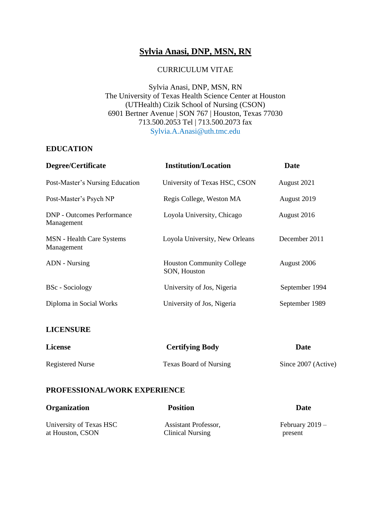# **Sylvia Anasi, DNP, MSN, RN**

#### CURRICULUM VITAE

Sylvia Anasi, DNP, MSN, RN The University of Texas Health Science Center at Houston (UTHealth) Cizik School of Nursing (CSON) 6901 Bertner Avenue | SON 767 | Houston, Texas 77030 713.500.2053 Tel | 713.500.2073 fax Sylvia.A.Anasi@uth.tmc.edu

#### **EDUCATION**

| Degree/Certificate                              | <b>Institution/Location</b>                      | Date           |
|-------------------------------------------------|--------------------------------------------------|----------------|
| Post-Master's Nursing Education                 | University of Texas HSC, CSON                    | August 2021    |
| Post-Master's Psych NP                          | Regis College, Weston MA                         | August 2019    |
| <b>DNP</b> - Outcomes Performance<br>Management | Loyola University, Chicago                       | August 2016    |
| <b>MSN</b> - Health Care Systems<br>Management  | Loyola University, New Orleans                   | December 2011  |
| ADN - Nursing                                   | <b>Houston Community College</b><br>SON, Houston | August 2006    |
| <b>BSc</b> - Sociology                          | University of Jos, Nigeria                       | September 1994 |
| Diploma in Social Works                         | University of Jos, Nigeria                       | September 1989 |
|                                                 |                                                  |                |

#### **LICENSURE**

| <b>License</b>          | <b>Certifying Body</b>        | Date                |
|-------------------------|-------------------------------|---------------------|
| <b>Registered Nurse</b> | <b>Texas Board of Nursing</b> | Since 2007 (Active) |

#### **PROFESSIONAL/WORK EXPERIENCE**

| <b>Organization</b>     | <b>Position</b>      | Date              |
|-------------------------|----------------------|-------------------|
| University of Texas HSC | Assistant Professor, | February $2019 -$ |
| at Houston, CSON        | Clinical Nursing     | present           |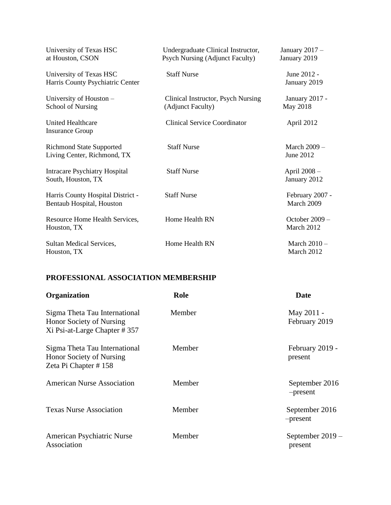| University of Texas HSC<br>at Houston, CSON                    | Undergraduate Clinical Instructor,<br><b>Psych Nursing (Adjunct Faculty)</b> | January $2017 -$<br>January 2019  |
|----------------------------------------------------------------|------------------------------------------------------------------------------|-----------------------------------|
| University of Texas HSC<br>Harris County Psychiatric Center    | <b>Staff Nurse</b>                                                           | June 2012 -<br>January 2019       |
| University of Houston -<br>School of Nursing                   | Clinical Instructor, Psych Nursing<br>(Adjunct Faculty)                      | <b>January 2017 -</b><br>May 2018 |
| <b>United Healthcare</b><br><b>Insurance Group</b>             | <b>Clinical Service Coordinator</b>                                          | April 2012                        |
| <b>Richmond State Supported</b><br>Living Center, Richmond, TX | <b>Staff Nurse</b>                                                           | March $2009 -$<br>June 2012       |
| <b>Intracare Psychiatry Hospital</b><br>South, Houston, TX     | <b>Staff Nurse</b>                                                           | April 2008 -<br>January 2012      |
| Harris County Hospital District -<br>Bentaub Hospital, Houston | <b>Staff Nurse</b>                                                           | February 2007 -<br>March 2009     |
| Resource Home Health Services,<br>Houston, TX                  | Home Health RN                                                               | October $2009 -$<br>March 2012    |
| Sultan Medical Services,<br>Houston, TX                        | Home Health RN                                                               | March $2010 -$<br>March 2012      |

## **PROFESSIONAL ASSOCIATION MEMBERSHIP**

| <b>Organization</b>                                                                       | Role   | <b>Date</b>                 |
|-------------------------------------------------------------------------------------------|--------|-----------------------------|
| Sigma Theta Tau International<br>Honor Society of Nursing<br>Xi Psi-at-Large Chapter #357 | Member | May 2011 -<br>February 2019 |
| Sigma Theta Tau International<br>Honor Society of Nursing<br>Zeta Pi Chapter #158         | Member | February 2019 -<br>present  |
| <b>American Nurse Association</b>                                                         | Member | September 2016<br>-present  |
| <b>Texas Nurse Association</b>                                                            | Member | September 2016<br>-present  |
| American Psychiatric Nurse<br>Association                                                 | Member | September 2019 –<br>present |